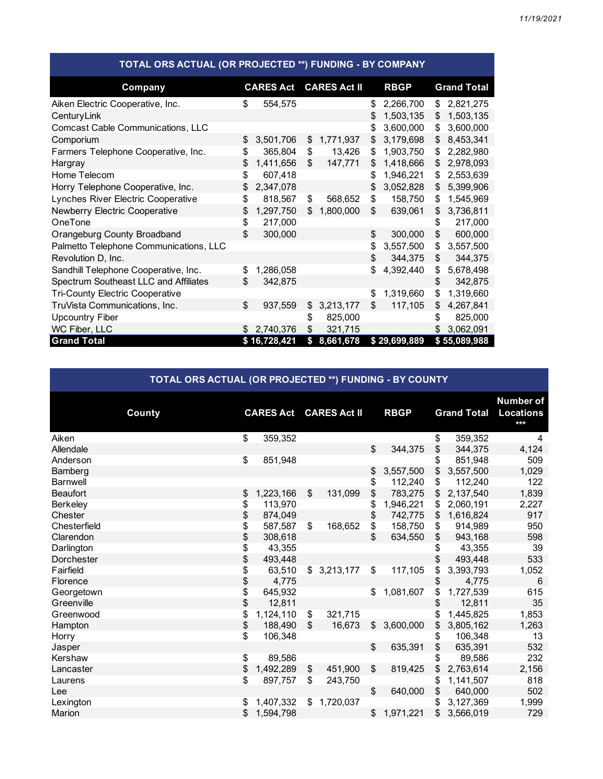| TOTAL ORS ACTUAL (OR PROJECTED **) FUNDING - BY COMPANY |    |                  |    |                     |    |              |    |                    |  |  |  |  |
|---------------------------------------------------------|----|------------------|----|---------------------|----|--------------|----|--------------------|--|--|--|--|
| Company                                                 |    | <b>CARES Act</b> |    | <b>CARES Act II</b> |    | <b>RBGP</b>  |    | <b>Grand Total</b> |  |  |  |  |
| Aiken Electric Cooperative, Inc.                        | \$ | 554,575          |    |                     | \$ | 2,266,700    | \$ | 2,821,275          |  |  |  |  |
| CenturyLink                                             |    |                  |    |                     | \$ | 1,503,135    | \$ | 1,503,135          |  |  |  |  |
| Comcast Cable Communications, LLC                       |    |                  |    |                     | \$ | 3,600,000    | \$ | 3,600,000          |  |  |  |  |
| Comporium                                               | \$ | 3,501,706        | \$ | 1,771,937           | \$ | 3,179,698    | \$ | 8,453,341          |  |  |  |  |
| Farmers Telephone Cooperative, Inc.                     | \$ | 365,804          | \$ | 13,426              | \$ | 1,903,750    | \$ | 2,282,980          |  |  |  |  |
| Hargray                                                 | \$ | 1,411,656        | \$ | 147,771             | \$ | 1,418,666    | \$ | 2,978,093          |  |  |  |  |
| Home Telecom                                            | \$ | 607,418          |    |                     | \$ | 1,946,221    | \$ | 2,553,639          |  |  |  |  |
| Horry Telephone Cooperative, Inc.                       | \$ | 2,347,078        |    |                     | \$ | 3,052,828    | \$ | 5,399,906          |  |  |  |  |
| Lynches River Electric Cooperative                      | \$ | 818,567          | \$ | 568,652             | \$ | 158,750      | \$ | 1,545,969          |  |  |  |  |
| Newberry Electric Cooperative                           | \$ | 1,297,750        | \$ | 1,800,000           | \$ | 639,061      | \$ | 3,736,811          |  |  |  |  |
| OneTone                                                 | \$ | 217,000          |    |                     |    |              | \$ | 217,000            |  |  |  |  |
| Orangeburg County Broadband                             | \$ | 300,000          |    |                     | \$ | 300,000      | \$ | 600,000            |  |  |  |  |
| Palmetto Telephone Communications, LLC                  |    |                  |    |                     | \$ | 3,557,500    | \$ | 3,557,500          |  |  |  |  |
| Revolution D, Inc.                                      |    |                  |    |                     | \$ | 344,375      | \$ | 344,375            |  |  |  |  |
| Sandhill Telephone Cooperative, Inc.                    | \$ | 1,286,058        |    |                     | \$ | 4,392,440    | \$ | 5,678,498          |  |  |  |  |
| Spectrum Southeast LLC and Affiliates                   | \$ | 342,875          |    |                     |    |              | \$ | 342,875            |  |  |  |  |
| <b>Tri-County Electric Cooperative</b>                  |    |                  |    |                     | \$ | 1,319,660    | \$ | 1,319,660          |  |  |  |  |
| TruVista Communications, Inc.                           | \$ | 937,559          | \$ | 3,213,177           | \$ | 117,105      | \$ | 4,267,841          |  |  |  |  |
| <b>Upcountry Fiber</b>                                  |    |                  | \$ | 825,000             |    |              | S  | 825,000            |  |  |  |  |
| WC Fiber, LLC                                           | \$ | 2,740,376        | \$ | 321,715             |    |              | S  | 3,062,091          |  |  |  |  |
| <b>Grand Total</b>                                      |    | \$16,728,421     | \$ | 8,661,678           |    | \$29,699,889 |    | \$55,089,988       |  |  |  |  |

## **TOTAL ORS ACTUAL (OR PROJECTED \*\*) FUNDING - BY COUNTY**

|                 | County | <b>CARES Act</b> |           | <b>CARES Act II</b> |             |                | <b>RBGP</b> |    | <b>Grand Total</b> | <b>Number of</b><br><b>Locations</b><br>$***$ |
|-----------------|--------|------------------|-----------|---------------------|-------------|----------------|-------------|----|--------------------|-----------------------------------------------|
| Aiken           |        | \$               | 359,352   |                     |             |                |             | \$ | 359,352            | 4                                             |
| Allendale       |        |                  |           |                     |             | \$             | 344,375     | \$ | 344,375            | 4,124                                         |
| Anderson        |        | \$               | 851,948   |                     |             |                |             | \$ | 851,948            | 509                                           |
| Bamberg         |        |                  |           |                     |             | \$             | 3,557,500   | \$ | 3,557,500          | 1,029                                         |
| <b>Barnwell</b> |        |                  |           |                     |             | \$             | 112,240     | \$ | 112,240            | 122                                           |
| <b>Beaufort</b> |        | \$               | 1,223,166 | \$                  | 131,099     | \$             | 783,275     | \$ | 2,137,540          | 1,839                                         |
| Berkeley        |        | \$               | 113,970   |                     |             | \$             | 1,946,221   | \$ | 2,060,191          | 2,227                                         |
| Chester         |        | \$               | 874,049   |                     |             | \$             | 742,775     | \$ | 1,616,824          | 917                                           |
| Chesterfield    |        | \$               | 587,587   | \$                  | 168,652     | \$             | 158,750     | \$ | 914,989            | 950                                           |
| Clarendon       |        | \$               | 308,618   |                     |             | \$.            | 634,550     | \$ | 943,168            | 598                                           |
| Darlington      |        | \$               | 43,355    |                     |             |                |             | \$ | 43,355             | 39                                            |
| Dorchester      |        | \$               | 493,448   |                     |             |                |             | \$ | 493,448            | 533                                           |
| Fairfield       |        | \$               | 63,510    |                     | \$3,213,177 | \$             | 117,105     | \$ | 3,393,793          | 1,052                                         |
| Florence        |        | \$               | 4,775     |                     |             |                |             | \$ | 4,775              | 6                                             |
| Georgetown      |        | \$               | 645,932   |                     |             | \$             | 1,081,607   | \$ | 1,727,539          | 615                                           |
| Greenville      |        | \$               | 12,811    |                     |             |                |             | \$ | 12,811             | 35                                            |
| Greenwood       |        | \$               | 1,124,110 | \$                  | 321,715     |                |             | \$ | 1,445,825          | 1,853                                         |
| Hampton         |        | \$               | 188,490   | \$                  | 16,673      | \$             | 3,600,000   | \$ | 3,805,162          | 1,263                                         |
| Horry           |        | \$               | 106,348   |                     |             |                |             | \$ | 106,348            | 13                                            |
| Jasper          |        |                  |           |                     |             | \$             | 635,391     | \$ | 635,391            | 532                                           |
| Kershaw         |        | \$               | 89,586    |                     |             |                |             | \$ | 89,586             | 232                                           |
| Lancaster       |        | \$               | 1,492,289 | \$                  | 451,900     | \$             | 819,425     | \$ | 2,763,614          | 2,156                                         |
| Laurens         |        | \$               | 897,757   | \$                  | 243,750     |                |             | \$ | 1,141,507          | 818                                           |
| Lee             |        |                  |           |                     |             | $\mathfrak{S}$ | 640,000     | \$ | 640,000            | 502                                           |
| Lexington       |        | \$               | 1,407,332 |                     | \$1,720,037 |                |             | \$ | 3,127,369          | 1,999                                         |
| Marion          |        | \$               | 1,594,798 |                     |             | \$             | 1,971,221   | \$ | 3,566,019          | 729                                           |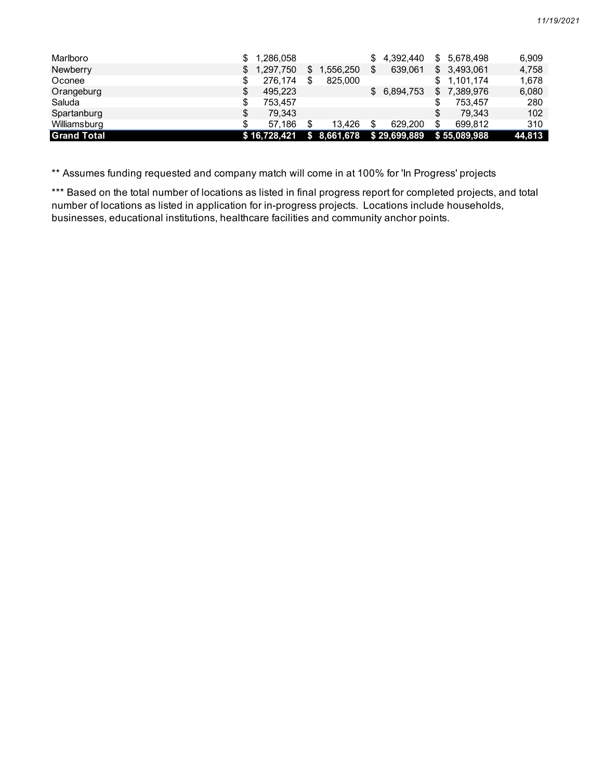| Marlboro           | 1,286,058    |           | \$. | 4,392,440    | \$ | 5.678.498    | 6.909  |
|--------------------|--------------|-----------|-----|--------------|----|--------------|--------|
| Newberry           | 1,297,750    | 1,556,250 | S   | 639.061      |    | \$3,493,061  | 4,758  |
| Oconee             | 276.174      | 825,000   |     |              | \$ | 1.101.174    | 1.678  |
| Orangeburg         | 495.223      |           | \$  | 6,894,753    | \$ | 7,389,976    | 6,080  |
| Saluda             | 753.457      |           |     |              |    | 753.457      | 280    |
| Spartanburg        | 79.343       |           |     |              | S  | 79.343       | 102    |
| Williamsburg       | 57.186       | 13.426    |     | 629.200      | \$ | 699.812      | 310    |
| <b>Grand Total</b> | \$16.728.421 | 8,661,678 |     | \$29,699,889 |    | \$55,089,988 | 44,813 |

\*\* Assumes funding requested and company match will come in at 100% for 'In Progress' projects

\*\*\* Based on the total number of locations as listed in final progress report for completed projects, and total number of locations as listed in application for in-progress projects. Locations include households, businesses, educational institutions, healthcare facilities and community anchor points.